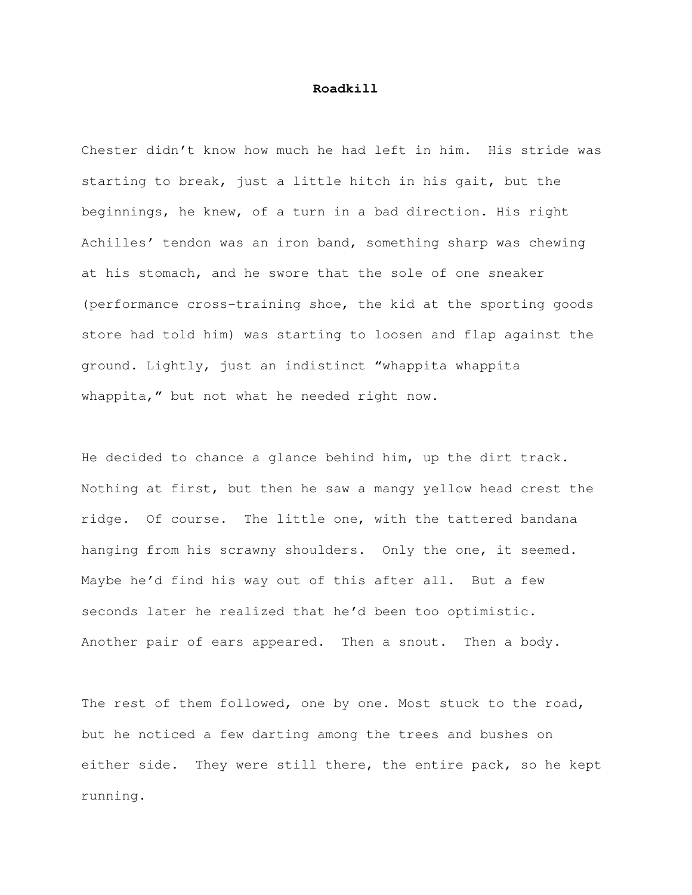## **Roadkill**

Chester didn't know how much he had left in him. His stride was starting to break, just a little hitch in his gait, but the beginnings, he knew, of a turn in a bad direction. His right Achilles' tendon was an iron band, something sharp was chewing at his stomach, and he swore that the sole of one sneaker (performance cross-training shoe, the kid at the sporting goods store had told him) was starting to loosen and flap against the ground. Lightly, just an indistinct "whappita whappita whappita," but not what he needed right now.

He decided to chance a glance behind him, up the dirt track. Nothing at first, but then he saw a mangy yellow head crest the ridge. Of course. The little one, with the tattered bandana hanging from his scrawny shoulders. Only the one, it seemed. Maybe he'd find his way out of this after all. But a few seconds later he realized that he'd been too optimistic. Another pair of ears appeared. Then a snout. Then a body.

The rest of them followed, one by one. Most stuck to the road, but he noticed a few darting among the trees and bushes on either side. They were still there, the entire pack, so he kept running.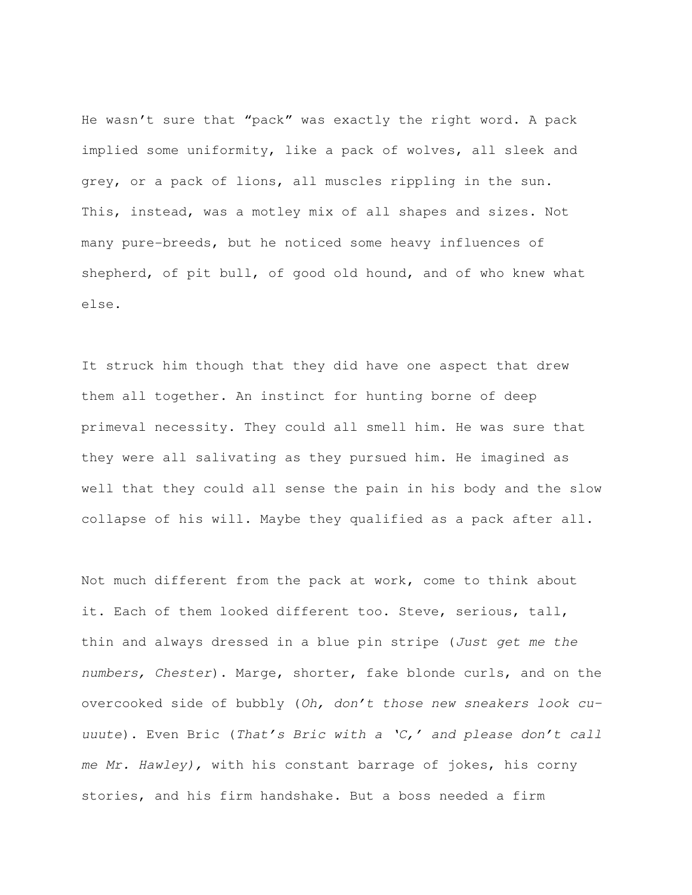He wasn't sure that "pack" was exactly the right word. A pack implied some uniformity, like a pack of wolves, all sleek and grey, or a pack of lions, all muscles rippling in the sun. This, instead, was a motley mix of all shapes and sizes. Not many pure-breeds, but he noticed some heavy influences of shepherd, of pit bull, of good old hound, and of who knew what else.

It struck him though that they did have one aspect that drew them all together. An instinct for hunting borne of deep primeval necessity. They could all smell him. He was sure that they were all salivating as they pursued him. He imagined as well that they could all sense the pain in his body and the slow collapse of his will. Maybe they qualified as a pack after all.

Not much different from the pack at work, come to think about it. Each of them looked different too. Steve, serious, tall, thin and always dressed in a blue pin stripe (Just get me the numbers, Chester). Marge, shorter, fake blonde curls, and on the overcooked side of bubbly (Oh, don't those new sneakers look cuuuute). Even Bric (That's Bric with a 'C,' and please don't call me Mr. Hawley), with his constant barrage of jokes, his corny stories, and his firm handshake. But a boss needed a firm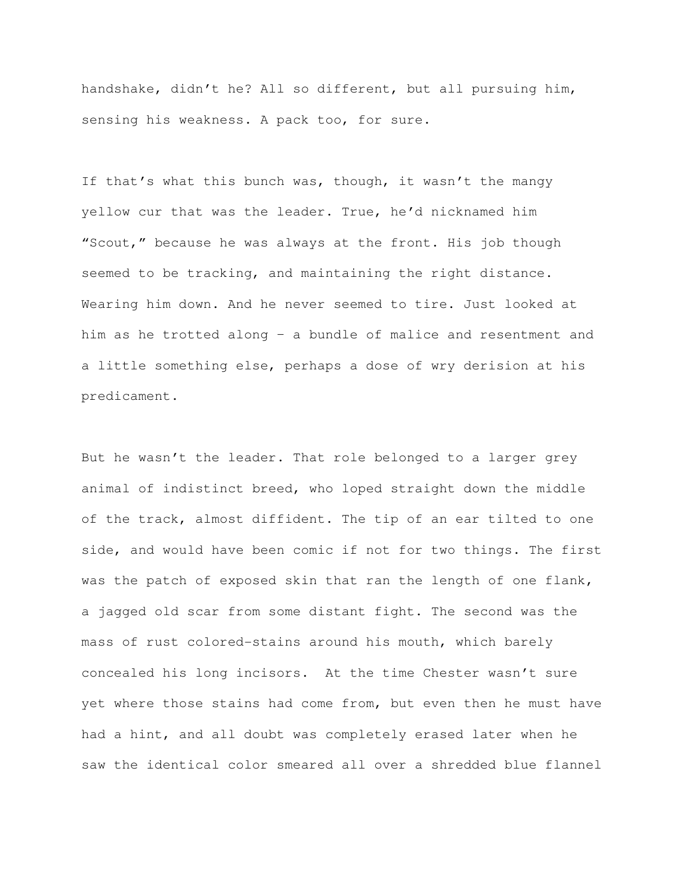handshake, didn't he? All so different, but all pursuing him, sensing his weakness. A pack too, for sure.

If that's what this bunch was, though, it wasn't the mangy yellow cur that was the leader. True, he'd nicknamed him "Scout," because he was always at the front. His job though seemed to be tracking, and maintaining the right distance. Wearing him down. And he never seemed to tire. Just looked at him as he trotted along – a bundle of malice and resentment and a little something else, perhaps a dose of wry derision at his predicament.

But he wasn't the leader. That role belonged to a larger grey animal of indistinct breed, who loped straight down the middle of the track, almost diffident. The tip of an ear tilted to one side, and would have been comic if not for two things. The first was the patch of exposed skin that ran the length of one flank, a jagged old scar from some distant fight. The second was the mass of rust colored-stains around his mouth, which barely concealed his long incisors. At the time Chester wasn't sure yet where those stains had come from, but even then he must have had a hint, and all doubt was completely erased later when he saw the identical color smeared all over a shredded blue flannel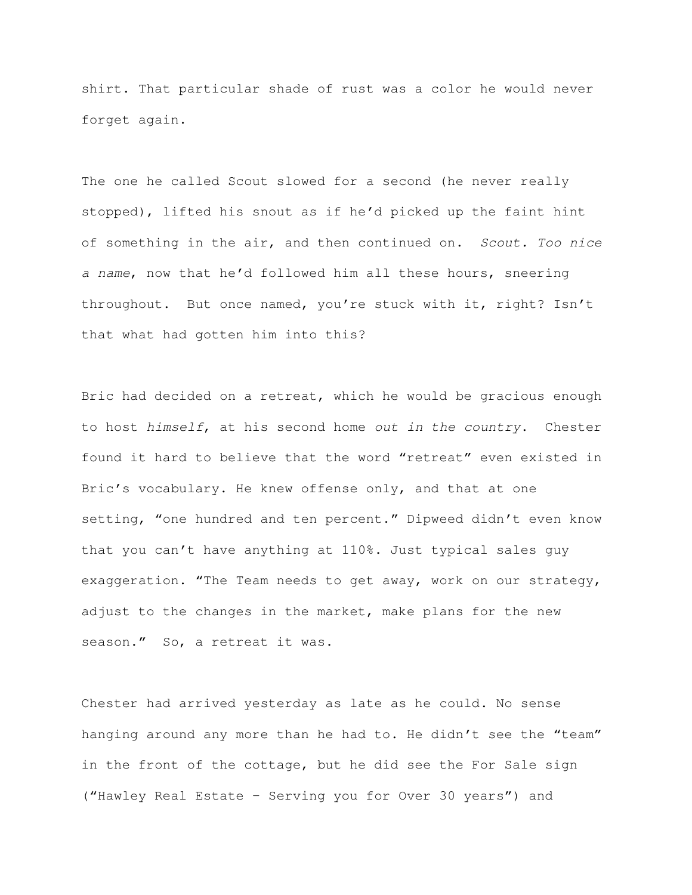shirt. That particular shade of rust was a color he would never forget again.

The one he called Scout slowed for a second (he never really stopped), lifted his snout as if he'd picked up the faint hint of something in the air, and then continued on. Scout. Too nice a name, now that he'd followed him all these hours, sneering throughout. But once named, you're stuck with it, right? Isn't that what had gotten him into this?

Bric had decided on a retreat, which he would be gracious enough to host himself, at his second home out in the country. Chester found it hard to believe that the word "retreat" even existed in Bric's vocabulary. He knew offense only, and that at one setting, "one hundred and ten percent." Dipweed didn't even know that you can't have anything at 110%. Just typical sales guy exaggeration. "The Team needs to get away, work on our strategy, adjust to the changes in the market, make plans for the new season." So, a retreat it was.

Chester had arrived yesterday as late as he could. No sense hanging around any more than he had to. He didn't see the "team" in the front of the cottage, but he did see the For Sale sign ("Hawley Real Estate – Serving you for Over 30 years") and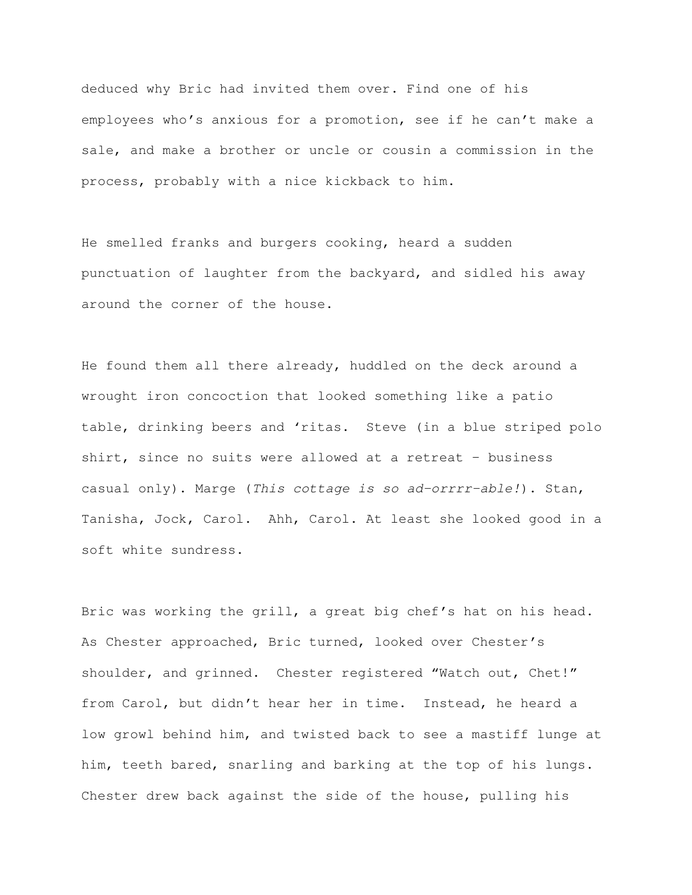deduced why Bric had invited them over. Find one of his employees who's anxious for a promotion, see if he can't make a sale, and make a brother or uncle or cousin a commission in the process, probably with a nice kickback to him.

He smelled franks and burgers cooking, heard a sudden punctuation of laughter from the backyard, and sidled his away around the corner of the house.

He found them all there already, huddled on the deck around a wrought iron concoction that looked something like a patio table, drinking beers and 'ritas. Steve (in a blue striped polo shirt, since no suits were allowed at a retreat – business casual only). Marge (This cottage is so ad-orrrr-able!). Stan, Tanisha, Jock, Carol. Ahh, Carol. At least she looked good in a soft white sundress.

Bric was working the grill, a great big chef's hat on his head. As Chester approached, Bric turned, looked over Chester's shoulder, and grinned. Chester registered "Watch out, Chet!" from Carol, but didn't hear her in time. Instead, he heard a low growl behind him, and twisted back to see a mastiff lunge at him, teeth bared, snarling and barking at the top of his lungs. Chester drew back against the side of the house, pulling his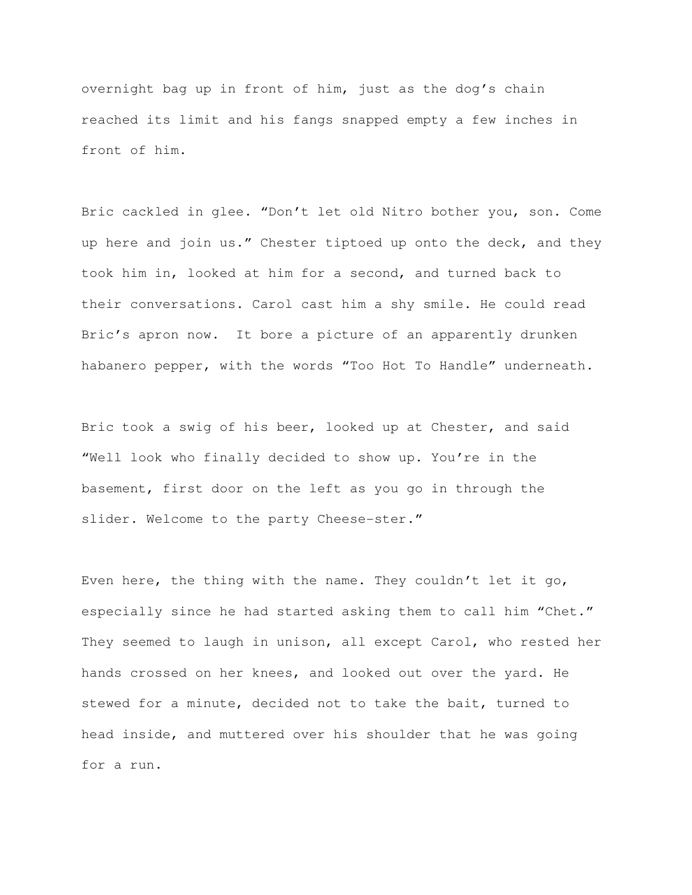overnight bag up in front of him, just as the dog's chain reached its limit and his fangs snapped empty a few inches in front of him.

Bric cackled in glee. "Don't let old Nitro bother you, son. Come up here and join us." Chester tiptoed up onto the deck, and they took him in, looked at him for a second, and turned back to their conversations. Carol cast him a shy smile. He could read Bric's apron now. It bore a picture of an apparently drunken habanero pepper, with the words "Too Hot To Handle" underneath.

Bric took a swig of his beer, looked up at Chester, and said "Well look who finally decided to show up. You're in the basement, first door on the left as you go in through the slider. Welcome to the party Cheese-ster."

Even here, the thing with the name. They couldn't let it go, especially since he had started asking them to call him "Chet." They seemed to laugh in unison, all except Carol, who rested her hands crossed on her knees, and looked out over the yard. He stewed for a minute, decided not to take the bait, turned to head inside, and muttered over his shoulder that he was going for a run.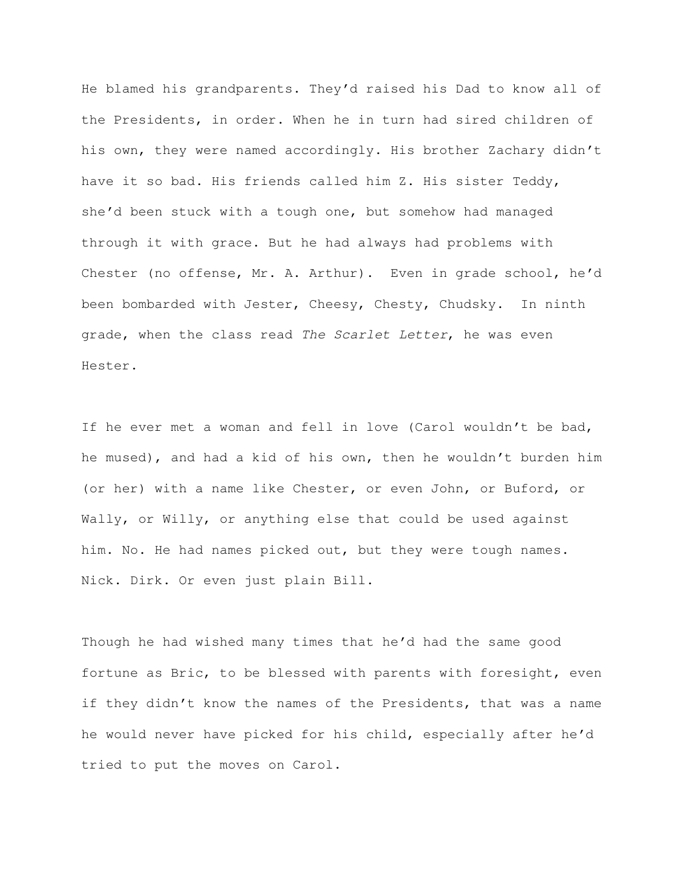He blamed his grandparents. They'd raised his Dad to know all of the Presidents, in order. When he in turn had sired children of his own, they were named accordingly. His brother Zachary didn't have it so bad. His friends called him Z. His sister Teddy, she'd been stuck with a tough one, but somehow had managed through it with grace. But he had always had problems with Chester (no offense, Mr. A. Arthur). Even in grade school, he'd been bombarded with Jester, Cheesy, Chesty, Chudsky. In ninth grade, when the class read The Scarlet Letter, he was even Hester.

If he ever met a woman and fell in love (Carol wouldn't be bad, he mused), and had a kid of his own, then he wouldn't burden him (or her) with a name like Chester, or even John, or Buford, or Wally, or Willy, or anything else that could be used against him. No. He had names picked out, but they were tough names. Nick. Dirk. Or even just plain Bill.

Though he had wished many times that he'd had the same good fortune as Bric, to be blessed with parents with foresight, even if they didn't know the names of the Presidents, that was a name he would never have picked for his child, especially after he'd tried to put the moves on Carol.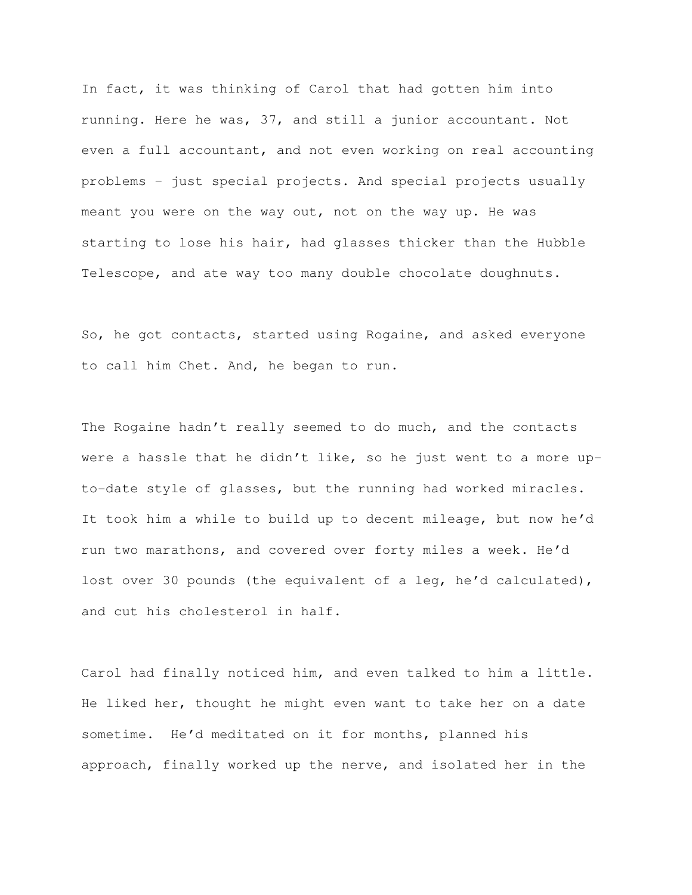In fact, it was thinking of Carol that had gotten him into running. Here he was, 37, and still a junior accountant. Not even a full accountant, and not even working on real accounting problems – just special projects. And special projects usually meant you were on the way out, not on the way up. He was starting to lose his hair, had glasses thicker than the Hubble Telescope, and ate way too many double chocolate doughnuts.

So, he got contacts, started using Rogaine, and asked everyone to call him Chet. And, he began to run.

The Rogaine hadn't really seemed to do much, and the contacts were a hassle that he didn't like, so he just went to a more upto-date style of glasses, but the running had worked miracles. It took him a while to build up to decent mileage, but now he'd run two marathons, and covered over forty miles a week. He'd lost over 30 pounds (the equivalent of a leg, he'd calculated), and cut his cholesterol in half.

Carol had finally noticed him, and even talked to him a little. He liked her, thought he might even want to take her on a date sometime. He'd meditated on it for months, planned his approach, finally worked up the nerve, and isolated her in the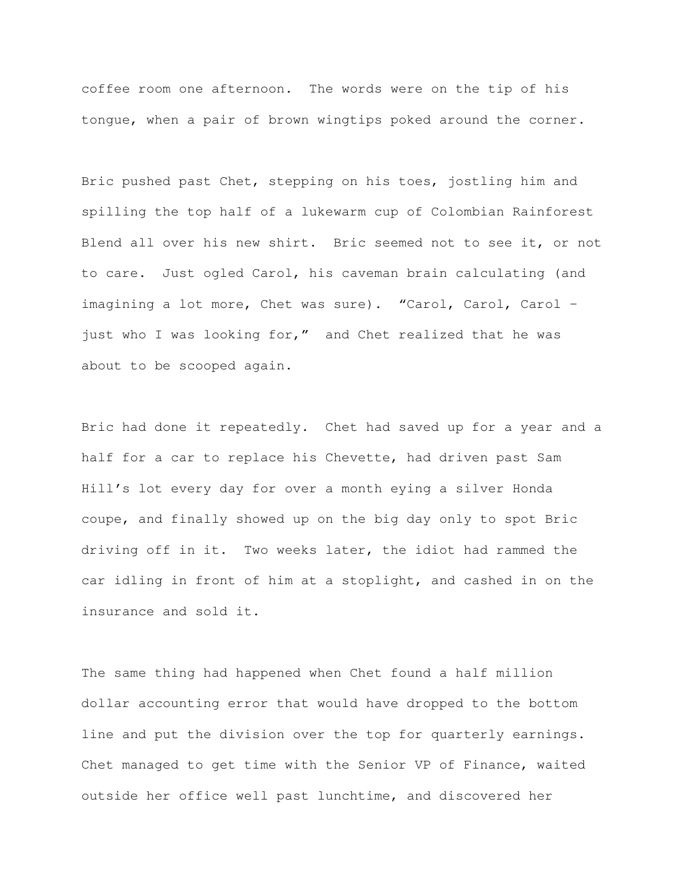coffee room one afternoon. The words were on the tip of his tongue, when a pair of brown wingtips poked around the corner.

Bric pushed past Chet, stepping on his toes, jostling him and spilling the top half of a lukewarm cup of Colombian Rainforest Blend all over his new shirt. Bric seemed not to see it, or not to care. Just ogled Carol, his caveman brain calculating (and imagining a lot more, Chet was sure). "Carol, Carol, Carol – just who I was looking for," and Chet realized that he was about to be scooped again.

Bric had done it repeatedly. Chet had saved up for a year and a half for a car to replace his Chevette, had driven past Sam Hill's lot every day for over a month eying a silver Honda coupe, and finally showed up on the big day only to spot Bric driving off in it. Two weeks later, the idiot had rammed the car idling in front of him at a stoplight, and cashed in on the insurance and sold it.

The same thing had happened when Chet found a half million dollar accounting error that would have dropped to the bottom line and put the division over the top for quarterly earnings. Chet managed to get time with the Senior VP of Finance, waited outside her office well past lunchtime, and discovered her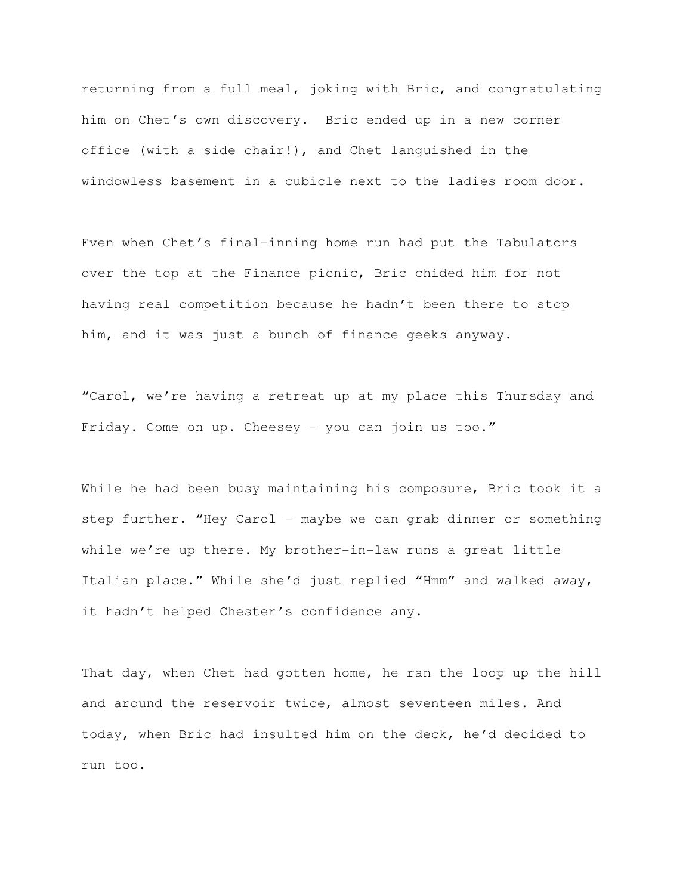returning from a full meal, joking with Bric, and congratulating him on Chet's own discovery. Bric ended up in a new corner office (with a side chair!), and Chet languished in the windowless basement in a cubicle next to the ladies room door.

Even when Chet's final-inning home run had put the Tabulators over the top at the Finance picnic, Bric chided him for not having real competition because he hadn't been there to stop him, and it was just a bunch of finance geeks anyway.

"Carol, we're having a retreat up at my place this Thursday and Friday. Come on up. Cheesey – you can join us too."

While he had been busy maintaining his composure, Bric took it a step further. "Hey Carol – maybe we can grab dinner or something while we're up there. My brother-in-law runs a great little Italian place." While she'd just replied "Hmm" and walked away, it hadn't helped Chester's confidence any.

That day, when Chet had gotten home, he ran the loop up the hill and around the reservoir twice, almost seventeen miles. And today, when Bric had insulted him on the deck, he'd decided to run too.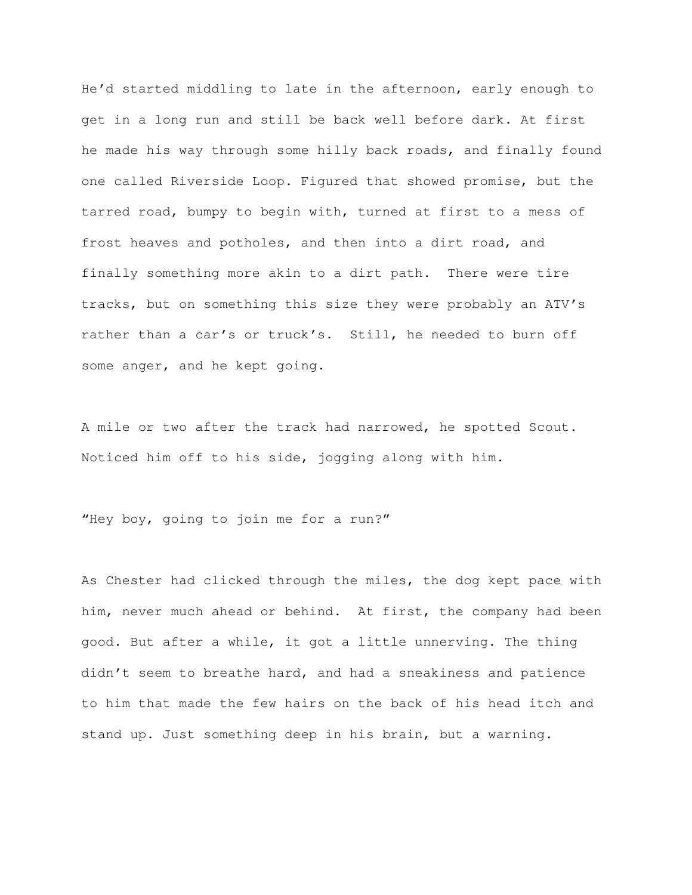He'd started middling to late in the afternoon, early enough to get in a long run and still be back well before dark. At first he made his way through some hilly back roads, and finally found one called Riverside Loop. Figured that showed promise, but the tarred road, bumpy to begin with, turned at first to a mess of frost heaves and potholes, and then into a dirt road, and finally something more akin to a dirt path. There were tire tracks, but on something this size they were probably an ATV's rather than a car's or truck's. Still, he needed to burn off some anger, and he kept going.

A mile or two after the track had narrowed, he spotted Scout. Noticed him off to his side, jogging along with him.

"Hey boy, going to join me for a run?"

As Chester had clicked through the miles, the dog kept pace with him, never much ahead or behind. At first, the company had been good. But after a while, it got a little unnerving. The thing didn't seem to breathe hard, and had a sneakiness and patience to him that made the few hairs on the back of his head itch and stand up. Just something deep in his brain, but a warning.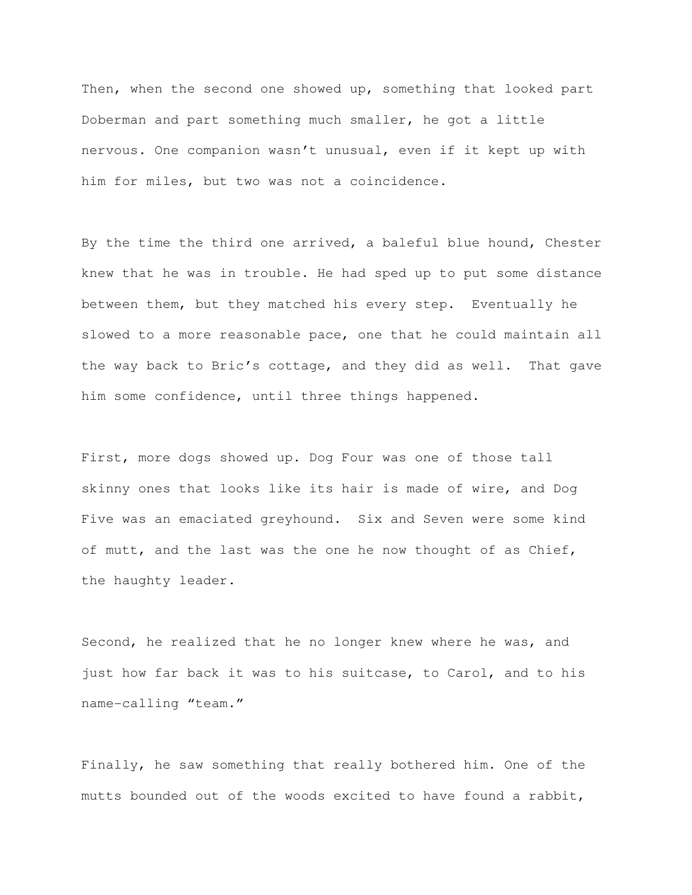Then, when the second one showed up, something that looked part Doberman and part something much smaller, he got a little nervous. One companion wasn't unusual, even if it kept up with him for miles, but two was not a coincidence.

By the time the third one arrived, a baleful blue hound, Chester knew that he was in trouble. He had sped up to put some distance between them, but they matched his every step. Eventually he slowed to a more reasonable pace, one that he could maintain all the way back to Bric's cottage, and they did as well. That gave him some confidence, until three things happened.

First, more dogs showed up. Dog Four was one of those tall skinny ones that looks like its hair is made of wire, and Dog Five was an emaciated greyhound. Six and Seven were some kind of mutt, and the last was the one he now thought of as Chief, the haughty leader.

Second, he realized that he no longer knew where he was, and just how far back it was to his suitcase, to Carol, and to his name-calling "team."

Finally, he saw something that really bothered him. One of the mutts bounded out of the woods excited to have found a rabbit,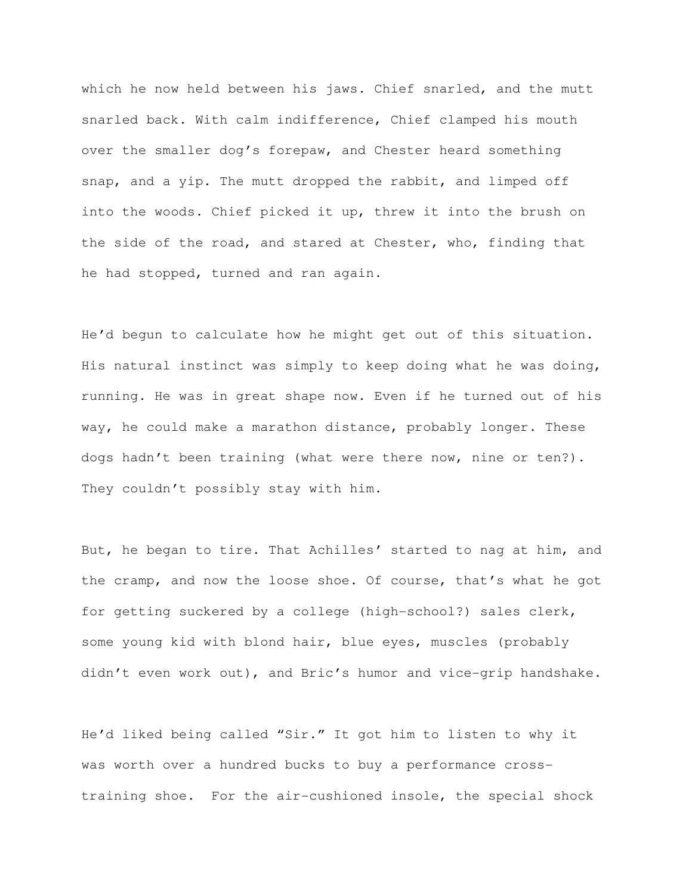which he now held between his jaws. Chief snarled, and the mutt snarled back. With calm indifference, Chief clamped his mouth over the smaller dog's forepaw, and Chester heard something snap, and a yip. The mutt dropped the rabbit, and limped off into the woods. Chief picked it up, threw it into the brush on the side of the road, and stared at Chester, who, finding that he had stopped, turned and ran again.

He'd begun to calculate how he might get out of this situation. His natural instinct was simply to keep doing what he was doing, running. He was in great shape now. Even if he turned out of his way, he could make a marathon distance, probably longer. These dogs hadn't been training (what were there now, nine or ten?). They couldn't possibly stay with him.

But, he began to tire. That Achilles' started to nag at him, and the cramp, and now the loose shoe. Of course, that's what he got for getting suckered by a college (high-school?) sales clerk, some young kid with blond hair, blue eyes, muscles (probably didn't even work out), and Bric's humor and vice-grip handshake.

He'd liked being called "Sir." It got him to listen to why it was worth over a hundred bucks to buy a performance crosstraining shoe. For the air-cushioned insole, the special shock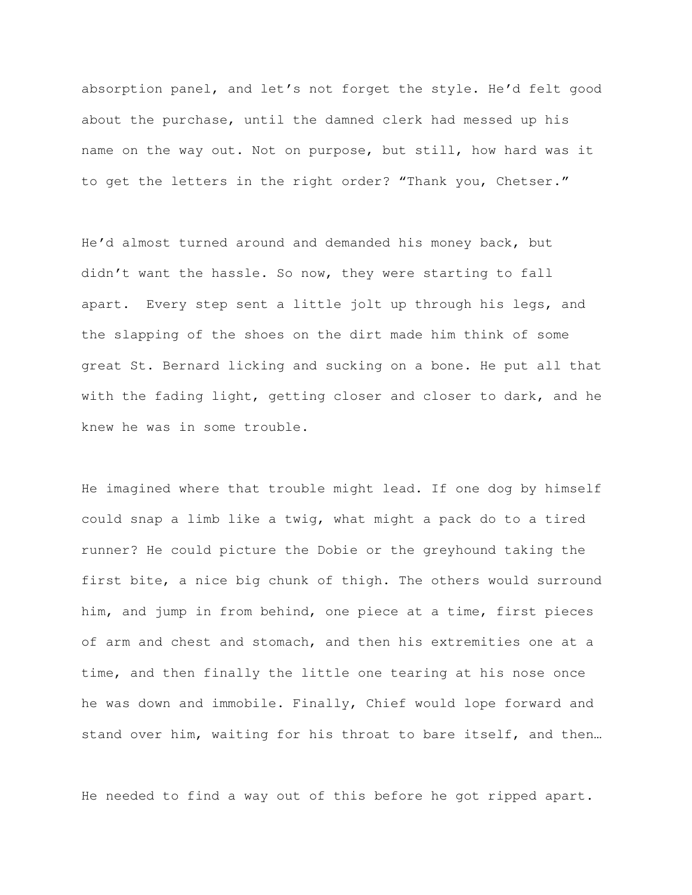absorption panel, and let's not forget the style. He'd felt good about the purchase, until the damned clerk had messed up his name on the way out. Not on purpose, but still, how hard was it to get the letters in the right order? "Thank you, Chetser."

He'd almost turned around and demanded his money back, but didn't want the hassle. So now, they were starting to fall apart. Every step sent a little jolt up through his legs, and the slapping of the shoes on the dirt made him think of some great St. Bernard licking and sucking on a bone. He put all that with the fading light, getting closer and closer to dark, and he knew he was in some trouble.

He imagined where that trouble might lead. If one dog by himself could snap a limb like a twig, what might a pack do to a tired runner? He could picture the Dobie or the greyhound taking the first bite, a nice big chunk of thigh. The others would surround him, and jump in from behind, one piece at a time, first pieces of arm and chest and stomach, and then his extremities one at a time, and then finally the little one tearing at his nose once he was down and immobile. Finally, Chief would lope forward and stand over him, waiting for his throat to bare itself, and then…

He needed to find a way out of this before he got ripped apart.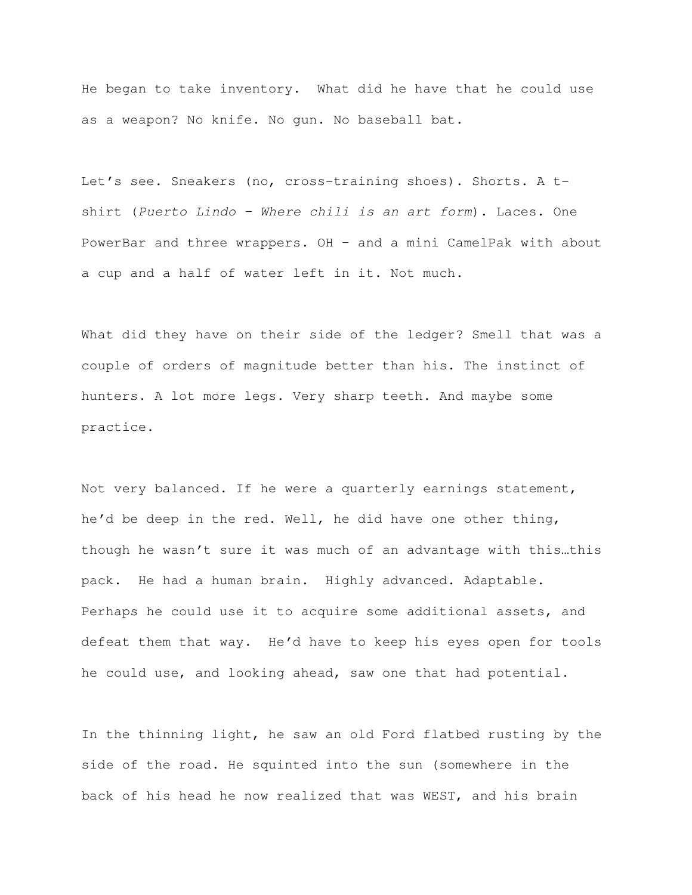He began to take inventory. What did he have that he could use as a weapon? No knife. No gun. No baseball bat.

Let's see. Sneakers (no, cross-training shoes). Shorts. A tshirt (Puerto Lindo – Where chili is an art form). Laces. One PowerBar and three wrappers. OH – and a mini CamelPak with about a cup and a half of water left in it. Not much.

What did they have on their side of the ledger? Smell that was a couple of orders of magnitude better than his. The instinct of hunters. A lot more legs. Very sharp teeth. And maybe some practice.

Not very balanced. If he were a quarterly earnings statement, he'd be deep in the red. Well, he did have one other thing, though he wasn't sure it was much of an advantage with this…this pack. He had a human brain. Highly advanced. Adaptable. Perhaps he could use it to acquire some additional assets, and defeat them that way. He'd have to keep his eyes open for tools he could use, and looking ahead, saw one that had potential.

In the thinning light, he saw an old Ford flatbed rusting by the side of the road. He squinted into the sun (somewhere in the back of his head he now realized that was WEST, and his brain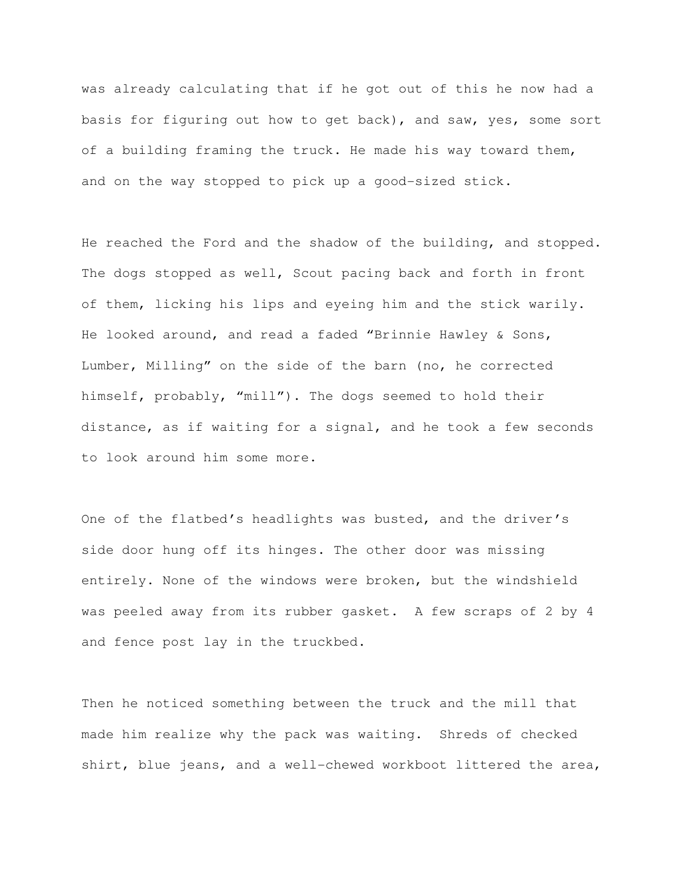was already calculating that if he got out of this he now had a basis for figuring out how to get back), and saw, yes, some sort of a building framing the truck. He made his way toward them, and on the way stopped to pick up a good-sized stick.

He reached the Ford and the shadow of the building, and stopped. The dogs stopped as well, Scout pacing back and forth in front of them, licking his lips and eyeing him and the stick warily. He looked around, and read a faded "Brinnie Hawley & Sons, Lumber, Milling" on the side of the barn (no, he corrected himself, probably, "mill"). The dogs seemed to hold their distance, as if waiting for a signal, and he took a few seconds to look around him some more.

One of the flatbed's headlights was busted, and the driver's side door hung off its hinges. The other door was missing entirely. None of the windows were broken, but the windshield was peeled away from its rubber gasket. A few scraps of 2 by 4 and fence post lay in the truckbed.

Then he noticed something between the truck and the mill that made him realize why the pack was waiting. Shreds of checked shirt, blue jeans, and a well-chewed workboot littered the area,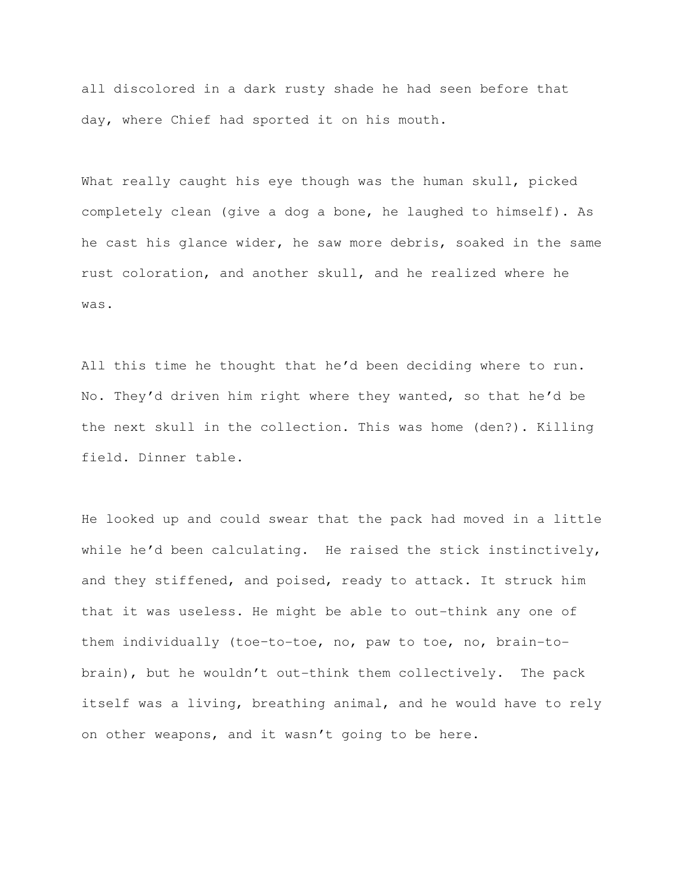all discolored in a dark rusty shade he had seen before that day, where Chief had sported it on his mouth.

What really caught his eye though was the human skull, picked completely clean (give a dog a bone, he laughed to himself). As he cast his glance wider, he saw more debris, soaked in the same rust coloration, and another skull, and he realized where he was.

All this time he thought that he'd been deciding where to run. No. They'd driven him right where they wanted, so that he'd be the next skull in the collection. This was home (den?). Killing field. Dinner table.

He looked up and could swear that the pack had moved in a little while he'd been calculating. He raised the stick instinctively, and they stiffened, and poised, ready to attack. It struck him that it was useless. He might be able to out-think any one of them individually (toe–to-toe, no, paw to toe, no, brain-tobrain), but he wouldn't out-think them collectively. The pack itself was a living, breathing animal, and he would have to rely on other weapons, and it wasn't going to be here.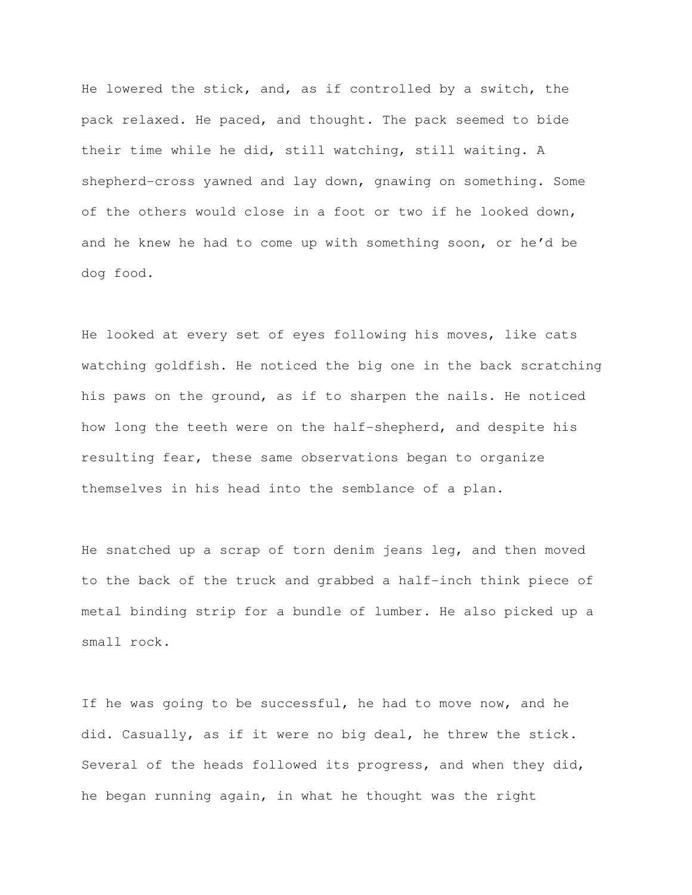He lowered the stick, and, as if controlled by a switch, the pack relaxed. He paced, and thought. The pack seemed to bide their time while he did, still watching, still waiting. A shepherd-cross yawned and lay down, gnawing on something. Some of the others would close in a foot or two if he looked down, and he knew he had to come up with something soon, or he'd be dog food.

He looked at every set of eyes following his moves, like cats watching goldfish. He noticed the big one in the back scratching his paws on the ground, as if to sharpen the nails. He noticed how long the teeth were on the half-shepherd, and despite his resulting fear, these same observations began to organize themselves in his head into the semblance of a plan.

He snatched up a scrap of torn denim jeans leg, and then moved to the back of the truck and grabbed a half-inch think piece of metal binding strip for a bundle of lumber. He also picked up a small rock.

If he was going to be successful, he had to move now, and he did. Casually, as if it were no big deal, he threw the stick. Several of the heads followed its progress, and when they did, he began running again, in what he thought was the right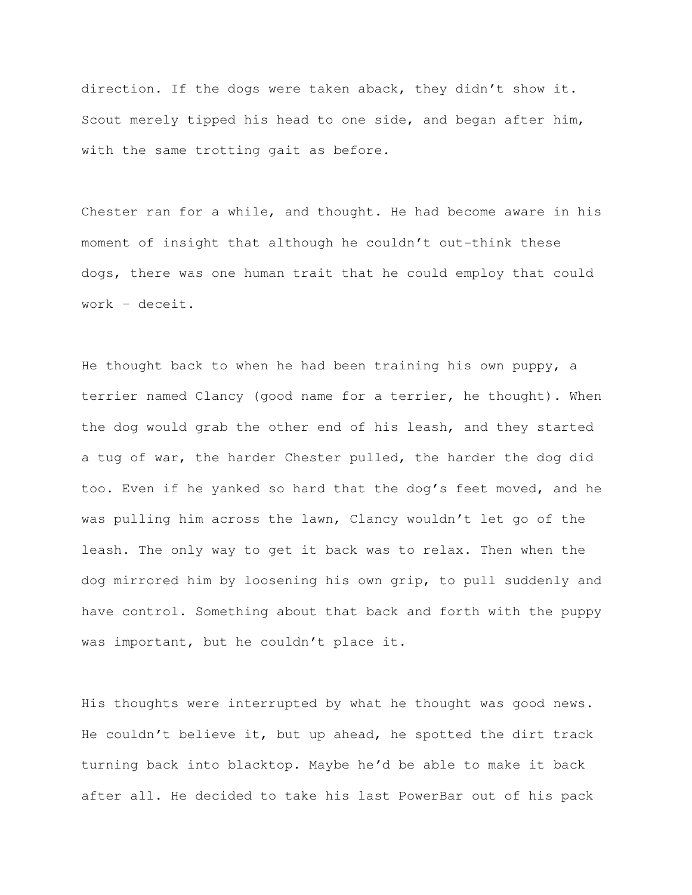direction. If the dogs were taken aback, they didn't show it. Scout merely tipped his head to one side, and began after him, with the same trotting gait as before.

Chester ran for a while, and thought. He had become aware in his moment of insight that although he couldn't out-think these dogs, there was one human trait that he could employ that could work – deceit.

He thought back to when he had been training his own puppy, a terrier named Clancy (good name for a terrier, he thought). When the dog would grab the other end of his leash, and they started a tug of war, the harder Chester pulled, the harder the dog did too. Even if he yanked so hard that the dog's feet moved, and he was pulling him across the lawn, Clancy wouldn't let go of the leash. The only way to get it back was to relax. Then when the dog mirrored him by loosening his own grip, to pull suddenly and have control. Something about that back and forth with the puppy was important, but he couldn't place it.

His thoughts were interrupted by what he thought was good news. He couldn't believe it, but up ahead, he spotted the dirt track turning back into blacktop. Maybe he'd be able to make it back after all. He decided to take his last PowerBar out of his pack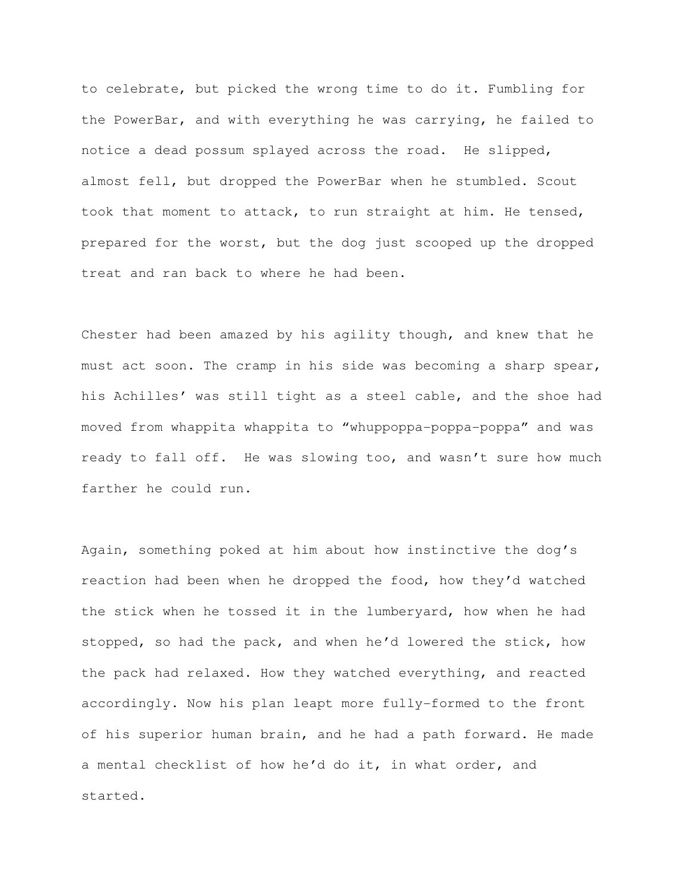to celebrate, but picked the wrong time to do it. Fumbling for the PowerBar, and with everything he was carrying, he failed to notice a dead possum splayed across the road. He slipped, almost fell, but dropped the PowerBar when he stumbled. Scout took that moment to attack, to run straight at him. He tensed, prepared for the worst, but the dog just scooped up the dropped treat and ran back to where he had been.

Chester had been amazed by his agility though, and knew that he must act soon. The cramp in his side was becoming a sharp spear, his Achilles' was still tight as a steel cable, and the shoe had moved from whappita whappita to "whuppoppa-poppa-poppa" and was ready to fall off. He was slowing too, and wasn't sure how much farther he could run.

Again, something poked at him about how instinctive the dog's reaction had been when he dropped the food, how they'd watched the stick when he tossed it in the lumberyard, how when he had stopped, so had the pack, and when he'd lowered the stick, how the pack had relaxed. How they watched everything, and reacted accordingly. Now his plan leapt more fully-formed to the front of his superior human brain, and he had a path forward. He made a mental checklist of how he'd do it, in what order, and started.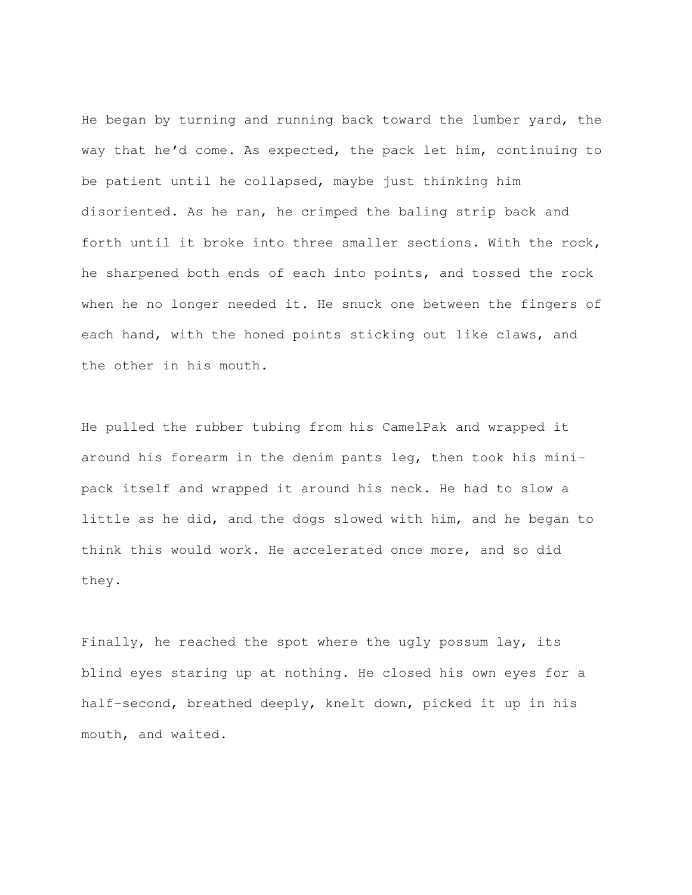He began by turning and running back toward the lumber yard, the way that he'd come. As expected, the pack let him, continuing to be patient until he collapsed, maybe just thinking him disoriented. As he ran, he crimped the baling strip back and forth until it broke into three smaller sections. With the rock, he sharpened both ends of each into points, and tossed the rock when he no longer needed it. He snuck one between the fingers of each hand, with the honed points sticking out like claws, and the other in his mouth.

He pulled the rubber tubing from his CamelPak and wrapped it around his forearm in the denim pants leg, then took his minipack itself and wrapped it around his neck. He had to slow a little as he did, and the dogs slowed with him, and he began to think this would work. He accelerated once more, and so did they.

Finally, he reached the spot where the ugly possum lay, its blind eyes staring up at nothing. He closed his own eyes for a half-second, breathed deeply, knelt down, picked it up in his mouth, and waited.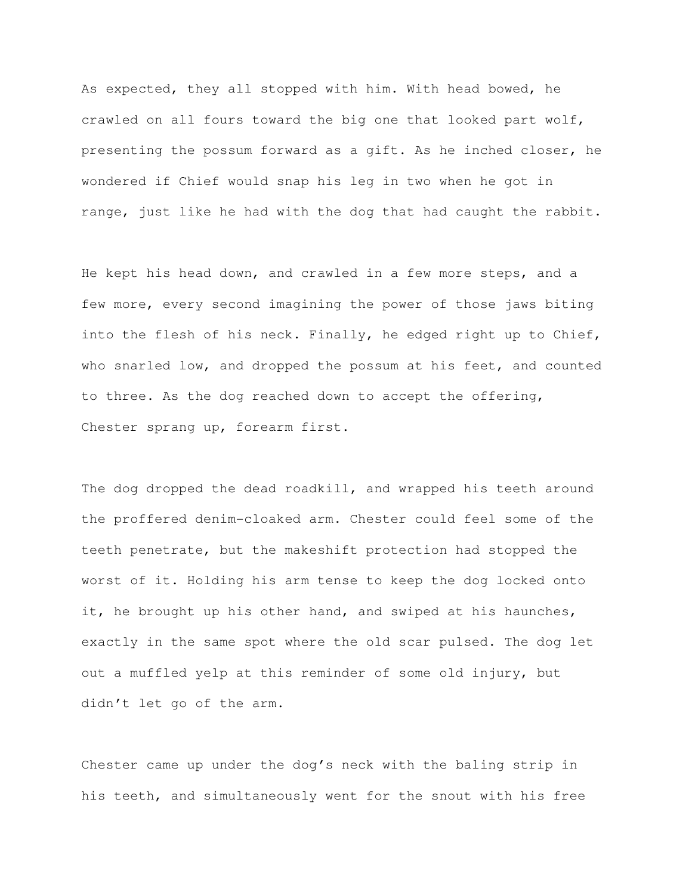As expected, they all stopped with him. With head bowed, he crawled on all fours toward the big one that looked part wolf, presenting the possum forward as a gift. As he inched closer, he wondered if Chief would snap his leg in two when he got in range, just like he had with the dog that had caught the rabbit.

He kept his head down, and crawled in a few more steps, and a few more, every second imagining the power of those jaws biting into the flesh of his neck. Finally, he edged right up to Chief, who snarled low, and dropped the possum at his feet, and counted to three. As the dog reached down to accept the offering, Chester sprang up, forearm first.

The dog dropped the dead roadkill, and wrapped his teeth around the proffered denim-cloaked arm. Chester could feel some of the teeth penetrate, but the makeshift protection had stopped the worst of it. Holding his arm tense to keep the dog locked onto it, he brought up his other hand, and swiped at his haunches, exactly in the same spot where the old scar pulsed. The dog let out a muffled yelp at this reminder of some old injury, but didn't let go of the arm.

Chester came up under the dog's neck with the baling strip in his teeth, and simultaneously went for the snout with his free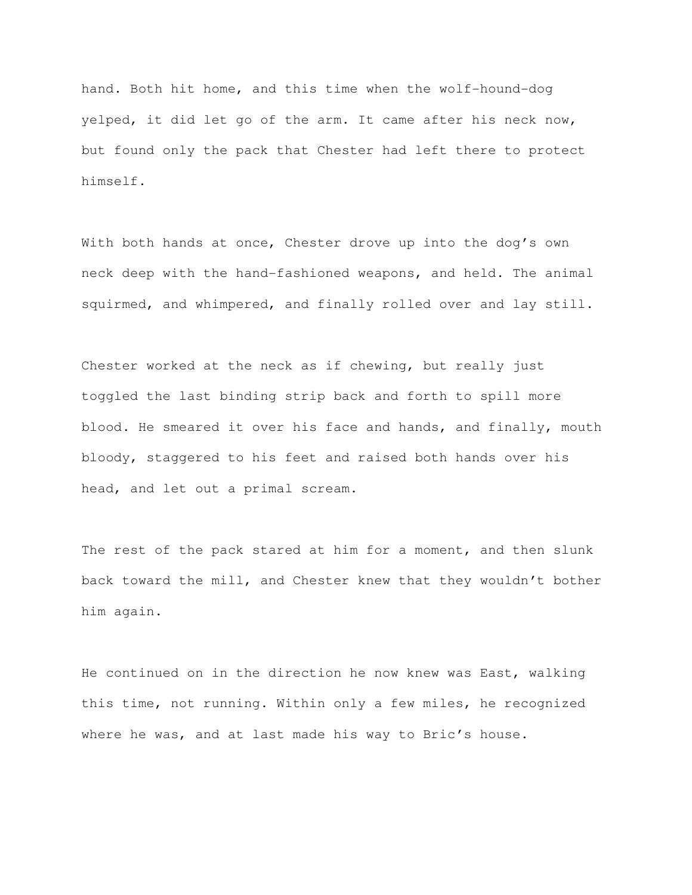hand. Both hit home, and this time when the wolf-hound-dog yelped, it did let go of the arm. It came after his neck now, but found only the pack that Chester had left there to protect himself.

With both hands at once, Chester drove up into the dog's own neck deep with the hand-fashioned weapons, and held. The animal squirmed, and whimpered, and finally rolled over and lay still.

Chester worked at the neck as if chewing, but really just toggled the last binding strip back and forth to spill more blood. He smeared it over his face and hands, and finally, mouth bloody, staggered to his feet and raised both hands over his head, and let out a primal scream.

The rest of the pack stared at him for a moment, and then slunk back toward the mill, and Chester knew that they wouldn't bother him again.

He continued on in the direction he now knew was East, walking this time, not running. Within only a few miles, he recognized where he was, and at last made his way to Bric's house.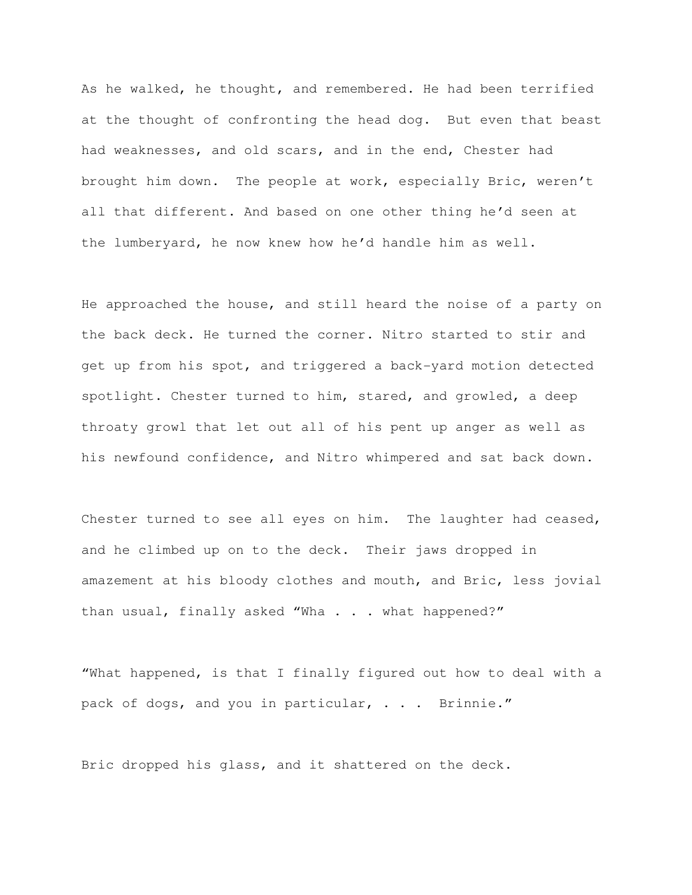As he walked, he thought, and remembered. He had been terrified at the thought of confronting the head dog. But even that beast had weaknesses, and old scars, and in the end, Chester had brought him down. The people at work, especially Bric, weren't all that different. And based on one other thing he'd seen at the lumberyard, he now knew how he'd handle him as well.

He approached the house, and still heard the noise of a party on the back deck. He turned the corner. Nitro started to stir and get up from his spot, and triggered a back-yard motion detected spotlight. Chester turned to him, stared, and growled, a deep throaty growl that let out all of his pent up anger as well as his newfound confidence, and Nitro whimpered and sat back down.

Chester turned to see all eyes on him. The laughter had ceased, and he climbed up on to the deck. Their jaws dropped in amazement at his bloody clothes and mouth, and Bric, less jovial than usual, finally asked "Wha . . . what happened?"

"What happened, is that I finally figured out how to deal with a pack of dogs, and you in particular, . . . Brinnie."

Bric dropped his glass, and it shattered on the deck.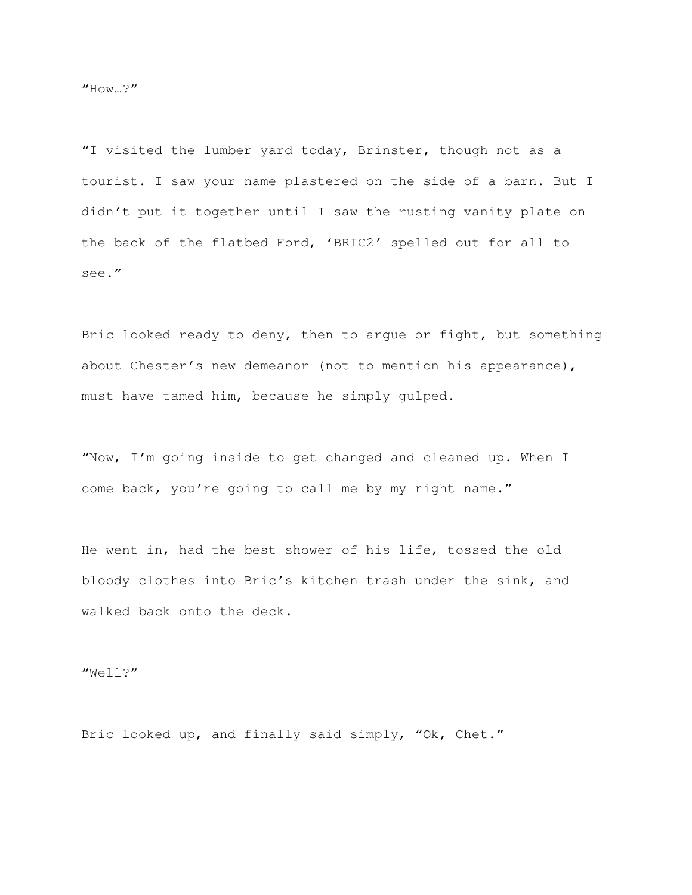"I visited the lumber yard today, Brinster, though not as a tourist. I saw your name plastered on the side of a barn. But I didn't put it together until I saw the rusting vanity plate on the back of the flatbed Ford, 'BRIC2' spelled out for all to see."

Bric looked ready to deny, then to argue or fight, but something about Chester's new demeanor (not to mention his appearance), must have tamed him, because he simply gulped.

"Now, I'm going inside to get changed and cleaned up. When I come back, you're going to call me by my right name."

He went in, had the best shower of his life, tossed the old bloody clothes into Bric's kitchen trash under the sink, and walked back onto the deck.

"Well?"

Bric looked up, and finally said simply, "Ok, Chet."